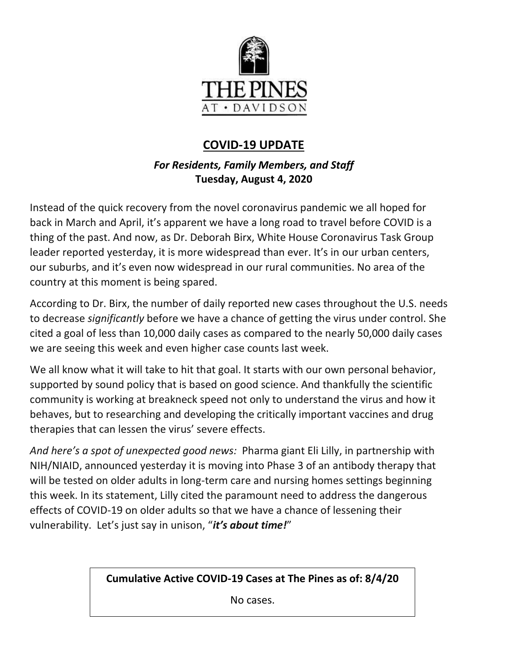

# **COVID-19 UPDATE**

# *For Residents, Family Members, and Staff* **Tuesday, August 4, 2020**

Instead of the quick recovery from the novel coronavirus pandemic we all hoped for back in March and April, it's apparent we have a long road to travel before COVID is a thing of the past. And now, as Dr. Deborah Birx, White House Coronavirus Task Group leader reported yesterday, it is more widespread than ever. It's in our urban centers, our suburbs, and it's even now widespread in our rural communities. No area of the country at this moment is being spared.

According to Dr. Birx, the number of daily reported new cases throughout the U.S. needs to decrease *significantly* before we have a chance of getting the virus under control. She cited a goal of less than 10,000 daily cases as compared to the nearly 50,000 daily cases we are seeing this week and even higher case counts last week.

We all know what it will take to hit that goal. It starts with our own personal behavior, supported by sound policy that is based on good science. And thankfully the scientific community is working at breakneck speed not only to understand the virus and how it behaves, but to researching and developing the critically important vaccines and drug therapies that can lessen the virus' severe effects.

*And here's a spot of unexpected good news:* Pharma giant Eli Lilly, in partnership with NIH/NIAID, announced yesterday it is moving into Phase 3 of an antibody therapy that will be tested on older adults in long-term care and nursing homes settings beginning this week. In its statement, Lilly cited the paramount need to address the dangerous effects of COVID-19 on older adults so that we have a chance of lessening their vulnerability. Let's just say in unison, "*it's about time!*"

**Cumulative Active COVID-19 Cases at The Pines as of: 8/4/20**

No cases.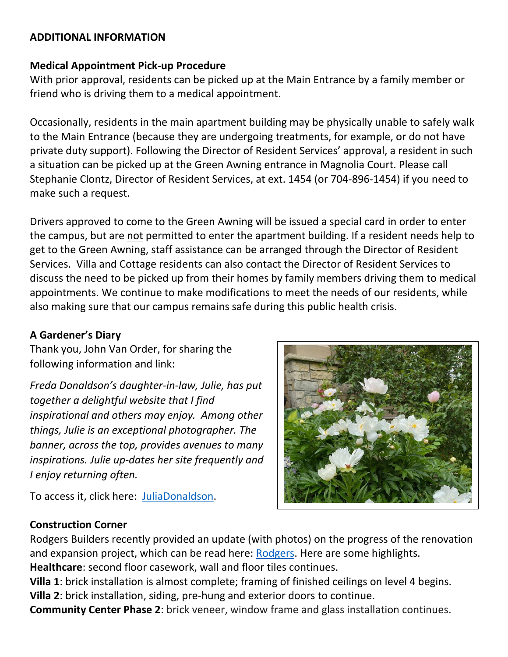#### **ADDITIONAL INFORMATION**

#### **Medical Appointment Pick-up Procedure**

With prior approval, residents can be picked up at the Main Entrance by a family member or friend who is driving them to a medical appointment.

Occasionally, residents in the main apartment building may be physically unable to safely walk to the Main Entrance (because they are undergoing treatments, for example, or do not have private duty support). Following the Director of Resident Services' approval, a resident in such a situation can be picked up at the Green Awning entrance in Magnolia Court. Please call Stephanie Clontz, Director of Resident Services, at ext. 1454 (or 704-896-1454) if you need to make such a request.

Drivers approved to come to the Green Awning will be issued a special card in order to enter the campus, but are not permitted to enter the apartment building. If a resident needs help to get to the Green Awning, staff assistance can be arranged through the Director of Resident Services. Villa and Cottage residents can also contact the Director of Resident Services to discuss the need to be picked up from their homes by family members driving them to medical appointments. We continue to make modifications to meet the needs of our residents, while also making sure that our campus remains safe during this public health crisis.

### **A Gardener's Diary**

Thank you, John Van Order, for sharing the following information and link:

*Freda Donaldson's daughter-in-law, Julie, has put together a delightful website that I find inspirational and others may enjoy. Among other things, Julie is an exceptional photographer. The banner, across the top, provides avenues to many inspirations. Julie up-dates her site frequently and I enjoy returning often.*

To access it, click here: [JuliaDonaldson.](https://juliejdonaldson.com/category/uncategorized/)

### **Construction Corner**

Rodgers Builders recently provided an update (with photos) on the progress of the renovation and expansion project, which can be read here: [Rodgers.](https://www.mycommunity-center.com/filephotos/463/2020-07-31%20Weekly%20Update.pdf) Here are some highlights. **Healthcare**: second floor casework, wall and floor tiles continues.

**Villa 1**: brick installation is almost complete; framing of finished ceilings on level 4 begins. **Villa 2**: brick installation, siding, pre-hung and exterior doors to continue.

**Community Center Phase 2**: brick veneer, window frame and glass installation continues.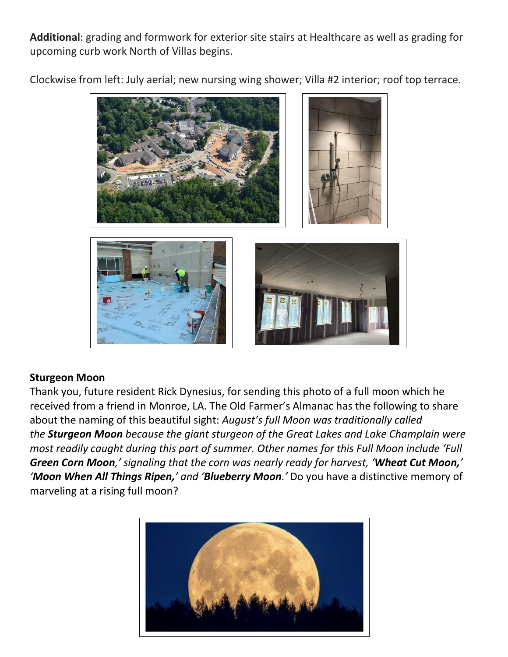**Additional**: grading and formwork for exterior site stairs at Healthcare as well as grading for upcoming curb work North of Villas begins.

Clockwise from left: July aerial; new nursing wing shower; Villa #2 interior; roof top terrace.



### **Sturgeon Moon**

Thank you, future resident Rick Dynesius, for sending this photo of a full moon which he received from a friend in Monroe, LA. The Old Farmer's Almanac has the following to share about the naming of this beautiful sight: *August's full Moon was traditionally called the Sturgeon Moon because the giant sturgeon of the Great Lakes and Lake Champlain were most readily caught during this part of summer. Other names for this Full Moon include 'Full Green Corn Moon,' signaling that the corn was nearly ready for harvest, 'Wheat Cut Moon,' 'Moon When All Things Ripen,' and 'Blueberry Moon.'* Do you have a distinctive memory of marveling at a rising full moon?